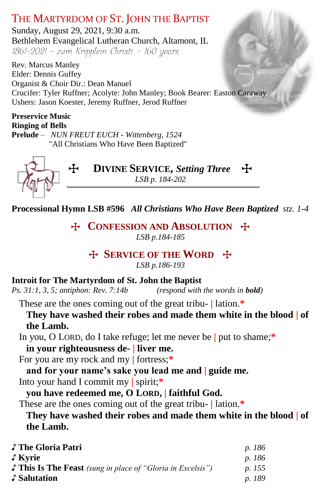# THE MARTYRDOM OF ST. JOHN THE BAPTIST

Sunday, August 29, 2021, 9:30 a.m. Bethlehem Evangelical Lutheran Church, Altamont, IL  $1861-2021$  - zum Kripplein Christi - 160 years

Rev. Marcus Manley Elder: Dennis Guffey Organist & Choir Dir.: Dean Manuel Crucifer: Tyler Ruffner; Acolyte: John Manley; Book Bearer: Easton Caraway Ushers: Jason Koester, Jeremy Ruffner, Jerod Ruffner

#### **Preservice Music Ringing of Bells**

**Prelude** *– NUN FREUT EUCH - Wittenberg, 1524* "All Christians Who Have Been Baptized"



T **DIVINE SERVICE,** *Setting Three*T *LSB p. 184-202*

**Processional Hymn LSB #596** *All Christians Who Have Been Baptized stz. 1-4*

*T***E CONFESSION AND ABSOLUTION** *T***<sub></sub>** *LSB p.184-185*

# T **SERVICE OF THE WORD** T

*LSB p.186-193*

**Introit for The Martyrdom of St. John the Baptist**<br>*Ps. 31:1, 3, 5; antiphon: Rev. 7:14b (respond with the words in bold) Ps. 31:1, 3, 5; antiphon: Rev. 7:14b* 

These are the ones coming out of the great tribu- **|** lation.**\***

**They have washed their robes and made them white in the blood | of the Lamb.**

In you, O LORD, do I take refuge; let me never be **|** put to shame;**\***

**in your righteousness de- | liver me.**

For you are my rock and my **|** fortress;**\***

**and for your name's sake you lead me and | guide me.**

Into your hand I commit my **|** spirit;**\***

# **you have redeemed me, O LORD, | faithful God.**

These are the ones coming out of the great tribu- **|** lation.**\***

**They have washed their robes and made them white in the blood | of the Lamb.**

| ♪ The Gloria Patri                                                 | p. 186        |
|--------------------------------------------------------------------|---------------|
| ∫ Kyrie                                                            | p. 186        |
| $\Gamma$ This Is The Feast (sung in place of "Gloria in Excelsis") | <i>p.</i> 155 |
| ♪ Salutation                                                       | p. 189        |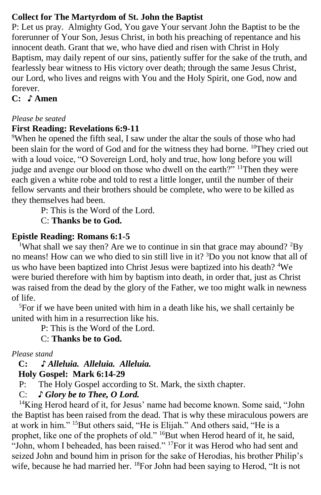# **Collect for The Martyrdom of St. John the Baptist**

P: Let us pray. Almighty God, You gave Your servant John the Baptist to be the forerunner of Your Son, Jesus Christ, in both his preaching of repentance and his innocent death. Grant that we, who have died and risen with Christ in Holy Baptism, may daily repent of our sins, patiently suffer for the sake of the truth, and fearlessly bear witness to His victory over death; through the same Jesus Christ, our Lord, who lives and reigns with You and the Holy Spirit, one God, now and forever.

# **C:** ♪ **Amen**

## *Please be seated*

## **First Reading: Revelations 6:9-11**

<sup>9</sup>When he opened the fifth seal, I saw under the altar the souls of those who had been slain for the word of God and for the witness they had borne. <sup>10</sup>They cried out with a loud voice, "O Sovereign Lord, holy and true, how long before you will judge and avenge our blood on those who dwell on the earth?" <sup>11</sup>Then they were each given a white robe and told to rest a little longer, until the number of their fellow servants and their brothers should be complete, who were to be killed as they themselves had been.

P: This is the Word of the Lord.

C: **Thanks be to God.**

## **Epistle Reading: Romans 6:1-5**

<sup>1</sup>What shall we say then? Are we to continue in sin that grace may abound?  ${}^{2}$ By no means! How can we who died to sin still live in it? <sup>3</sup>Do you not know that all of us who have been baptized into Christ Jesus were baptized into his death? <sup>4</sup>We were buried therefore with him by baptism into death, in order that, just as Christ was raised from the dead by the glory of the Father, we too might walk in newness of life.

<sup>5</sup>For if we have been united with him in a death like his, we shall certainly be united with him in a resurrection like his.

P: This is the Word of the Lord.

C: **Thanks be to God.**

*Please stand*

 **C: ♪** *Alleluia. Alleluia. Alleluia.*

# **Holy Gospel: Mark 6:14-29**

P: The Holy Gospel according to St. Mark, the sixth chapter.

C: *♪ Glory be to Thee, O Lord.*

<sup>14</sup>King Herod heard of it, for Jesus' name had become known. Some said, "John the Baptist has been raised from the dead. That is why these miraculous powers are at work in him." <sup>15</sup>But others said, "He is Elijah." And others said, "He is a prophet, like one of the prophets of old." <sup>16</sup>But when Herod heard of it, he said, "John, whom I beheaded, has been raised."  $17$  For it was Herod who had sent and seized John and bound him in prison for the sake of Herodias, his brother Philip's wife, because he had married her. <sup>18</sup>For John had been saying to Herod, "It is not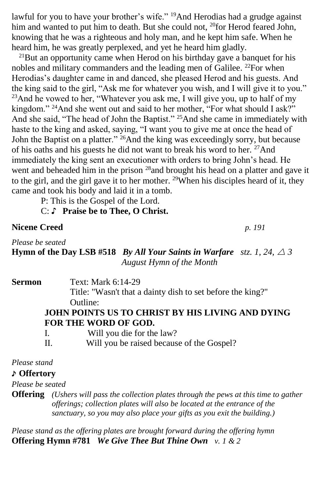lawful for you to have your brother's wife." <sup>19</sup>And Herodias had a grudge against him and wanted to put him to death. But she could not, <sup>20</sup>for Herod feared John, knowing that he was a righteous and holy man, and he kept him safe. When he heard him, he was greatly perplexed, and yet he heard him gladly.

 $^{21}$ But an opportunity came when Herod on his birthday gave a banquet for his nobles and military commanders and the leading men of Galilee. <sup>22</sup>For when Herodias's daughter came in and danced, she pleased Herod and his guests. And the king said to the girl, "Ask me for whatever you wish, and I will give it to you."  $^{23}$ And he vowed to her, "Whatever you ask me, I will give you, up to half of my kingdom." <sup>24</sup>And she went out and said to her mother, "For what should I ask?" And she said, "The head of John the Baptist." <sup>25</sup>And she came in immediately with haste to the king and asked, saying, "I want you to give me at once the head of John the Baptist on a platter."<sup>26</sup>And the king was exceedingly sorry, but because of his oaths and his guests he did not want to break his word to her. <sup>27</sup>And immediately the king sent an executioner with orders to bring John's head. He went and beheaded him in the prison <sup>28</sup>and brought his head on a platter and gave it to the girl, and the girl gave it to her mother. <sup>29</sup>When his disciples heard of it, they came and took his body and laid it in a tomb.

P: This is the Gospel of the Lord.

#### C: ♪ **Praise be to Thee, O Christ.**

**Nicene Creed** *p. 191*

*Please be seated* **Hymn** of the Day LSB #518 *By All Your Saints in Warfare stz. 1, 24,*  $\triangle$  *3 August Hymn of the Month*

| Sermon | Text: Mark 6:14-29                                                             |
|--------|--------------------------------------------------------------------------------|
|        | Title: "Wasn't that a dainty dish to set before the king?"                     |
|        | Outline:                                                                       |
|        | JOHN POINTS US TO CHRIST BY HIS LIVING AND DYING                               |
|        | FOR THE WORD OF GOD.                                                           |
|        | $\mathbf{W}^{111}$ , $\mathbf{C}$ , $\mathbf{1}$ , $\mathbf{1}$ , $\mathbf{1}$ |

|          | Will you die for the law?                 |
|----------|-------------------------------------------|
| $\rm II$ | Will you be raised because of the Gospel? |

*Please stand*

#### ♪ **Offertory**

*Please be seated*

**Offering** *(Ushers will pass the collection plates through the pews at this time to gather offerings; collection plates will also be located at the entrance of the sanctuary, so you may also place your gifts as you exit the building.)*

*Please stand as the offering plates are brought forward during the offering hymn* **Offering Hymn #781** *We Give Thee But Thine Own v. 1 & 2*